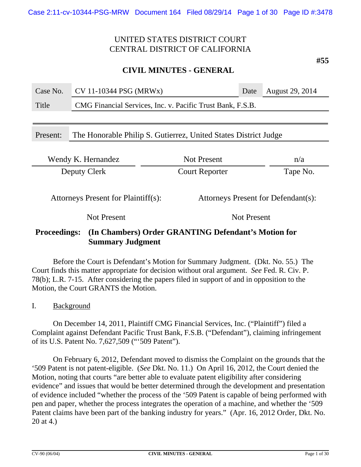### **CIVIL MINUTES - GENERAL**

| Case No.                                                                    | CV 11-10344 PSG (MRWx)                                     |                       | Date               | August 29, 2014 |
|-----------------------------------------------------------------------------|------------------------------------------------------------|-----------------------|--------------------|-----------------|
| Title                                                                       | CMG Financial Services, Inc. v. Pacific Trust Bank, F.S.B. |                       |                    |                 |
|                                                                             |                                                            |                       |                    |                 |
| The Honorable Philip S. Gutierrez, United States District Judge<br>Present: |                                                            |                       |                    |                 |
|                                                                             |                                                            |                       |                    |                 |
|                                                                             | <b>Not Present</b><br>Wendy K. Hernandez<br>n/a            |                       |                    |                 |
| Deputy Clerk                                                                |                                                            | <b>Court Reporter</b> |                    | Tape No.        |
|                                                                             |                                                            |                       |                    |                 |
| Attorneys Present for Plaintiff(s):<br>Attorneys Present for Defendant(s):  |                                                            |                       |                    |                 |
|                                                                             | <b>Not Present</b>                                         |                       | <b>Not Present</b> |                 |

### **Proceedings: (In Chambers) Order GRANTING Defendant's Motion for Summary Judgment**

Before the Court is Defendant's Motion for Summary Judgment. (Dkt. No. 55.) The Court finds this matter appropriate for decision without oral argument. *See* Fed. R. Civ. P. 78(b); L.R. 7-15. After considering the papers filed in support of and in opposition to the Motion, the Court GRANTS the Motion.

I. Background

On December 14, 2011, Plaintiff CMG Financial Services, Inc. ("Plaintiff") filed a Complaint against Defendant Pacific Trust Bank, F.S.B. ("Defendant"), claiming infringement of its U.S. Patent No. 7,627,509 ("'509 Patent").

On February 6, 2012, Defendant moved to dismiss the Complaint on the grounds that the '509 Patent is not patent-eligible. (*See* Dkt. No. 11.) On April 16, 2012, the Court denied the Motion, noting that courts "are better able to evaluate patent eligibility after considering evidence" and issues that would be better determined through the development and presentation of evidence included "whether the process of the '509 Patent is capable of being performed with pen and paper, whether the process integrates the operation of a machine, and whether the '509 Patent claims have been part of the banking industry for years." (Apr. 16, 2012 Order, Dkt. No. 20 at 4.)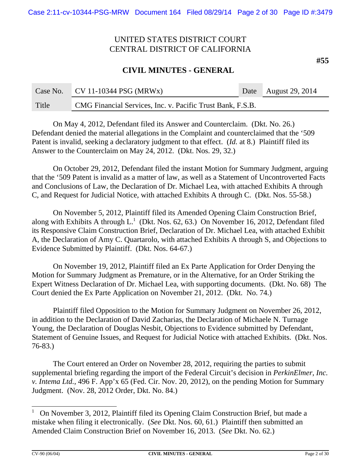### **CIVIL MINUTES - GENERAL**

|       | Case No. $CV 11-10344 PSG (MRWx)$                          | Date August 29, 2014 |
|-------|------------------------------------------------------------|----------------------|
| Title | CMG Financial Services, Inc. v. Pacific Trust Bank, F.S.B. |                      |

On May 4, 2012, Defendant filed its Answer and Counterclaim. (Dkt. No. 26.) Defendant denied the material allegations in the Complaint and counterclaimed that the '509 Patent is invalid, seeking a declaratory judgment to that effect. (*Id.* at 8.) Plaintiff filed its Answer to the Counterclaim on May 24, 2012. (Dkt. Nos. 29, 32.)

On October 29, 2012, Defendant filed the instant Motion for Summary Judgment, arguing that the '509 Patent is invalid as a matter of law, as well as a Statement of Uncontroverted Facts and Conclusions of Law, the Declaration of Dr. Michael Lea, with attached Exhibits A through C, and Request for Judicial Notice, with attached Exhibits A through C. (Dkt. Nos. 55-58.)

On November 5, 2012, Plaintiff filed its Amended Opening Claim Construction Brief, along with Exhibits A through  $L^1$  (Dkt. Nos. 62, 63.) On November 16, 2012, Defendant filed its Responsive Claim Construction Brief, Declaration of Dr. Michael Lea, with attached Exhibit A, the Declaration of Amy C. Quartarolo, with attached Exhibits A through S, and Objections to Evidence Submitted by Plaintiff. (Dkt. Nos. 64-67.)

On November 19, 2012, Plaintiff filed an Ex Parte Application for Order Denying the Motion for Summary Judgment as Premature, or in the Alternative, for an Order Striking the Expert Witness Declaration of Dr. Michael Lea, with supporting documents. (Dkt. No. 68) The Court denied the Ex Parte Application on November 21, 2012. (Dkt. No. 74.)

Plaintiff filed Opposition to the Motion for Summary Judgment on November 26, 2012, in addition to the Declaration of David Zacharias, the Declaration of Michaele N. Turnage Young, the Declaration of Douglas Nesbit, Objections to Evidence submitted by Defendant, Statement of Genuine Issues, and Request for Judicial Notice with attached Exhibits. (Dkt. Nos. 76-83.)

The Court entered an Order on November 28, 2012, requiring the parties to submit supplemental briefing regarding the import of the Federal Circuit's decision in *PerkinElmer, Inc. v. Intema Ltd.*, 496 F. App'x 65 (Fed. Cir. Nov. 20, 2012), on the pending Motion for Summary Judgment. (Nov. 28, 2012 Order, Dkt. No. 84.)

<sup>1</sup> On November 3, 2012, Plaintiff filed its Opening Claim Construction Brief, but made a mistake when filing it electronically. (*See* Dkt. Nos. 60, 61.) Plaintiff then submitted an Amended Claim Construction Brief on November 16, 2013. (*See* Dkt. No. 62.)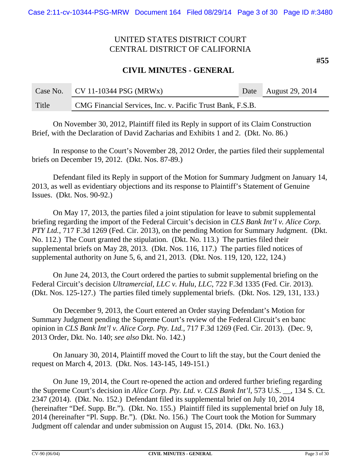### **CIVIL MINUTES - GENERAL**

|       | Case No. $CV 11-10344 PSG (MRWx)$                          | Date August 29, 2014 |
|-------|------------------------------------------------------------|----------------------|
| Title | CMG Financial Services, Inc. v. Pacific Trust Bank, F.S.B. |                      |

On November 30, 2012, Plaintiff filed its Reply in support of its Claim Construction Brief, with the Declaration of David Zacharias and Exhibits 1 and 2. (Dkt. No. 86.)

In response to the Court's November 28, 2012 Order, the parties filed their supplemental briefs on December 19, 2012. (Dkt. Nos. 87-89.)

Defendant filed its Reply in support of the Motion for Summary Judgment on January 14, 2013, as well as evidentiary objections and its response to Plaintiff's Statement of Genuine Issues. (Dkt. Nos. 90-92.)

On May 17, 2013, the parties filed a joint stipulation for leave to submit supplemental briefing regarding the import of the Federal Circuit's decision in *CLS Bank Int'l v. Alice Corp. PTY Ltd.*, 717 F.3d 1269 (Fed. Cir. 2013), on the pending Motion for Summary Judgment. (Dkt. No. 112.) The Court granted the stipulation. (Dkt. No. 113.) The parties filed their supplemental briefs on May 28, 2013. (Dkt. Nos. 116, 117.) The parties filed notices of supplemental authority on June 5, 6, and 21, 2013. (Dkt. Nos. 119, 120, 122, 124.)

On June 24, 2013, the Court ordered the parties to submit supplemental briefing on the Federal Circuit's decision *Ultramercial, LLC v. Hulu, LLC*, 722 F.3d 1335 (Fed. Cir. 2013). (Dkt. Nos. 125-127.) The parties filed timely supplemental briefs. (Dkt. Nos. 129, 131, 133.)

On December 9, 2013, the Court entered an Order staying Defendant's Motion for Summary Judgment pending the Supreme Court's review of the Federal Circuit's en banc opinion in *CLS Bank Int'l v. Alice Corp. Pty. Ltd.*, 717 F.3d 1269 (Fed. Cir. 2013). (Dec. 9, 2013 Order, Dkt. No. 140; *see also* Dkt. No. 142.)

On January 30, 2014, Plaintiff moved the Court to lift the stay, but the Court denied the request on March 4, 2013. (Dkt. Nos. 143-145, 149-151.)

On June 19, 2014, the Court re-opened the action and ordered further briefing regarding the Supreme Court's decision in *Alice Corp. Pty. Ltd. v. CLS Bank Int'l*, 573 U.S. \_\_, 134 S. Ct. 2347 (2014). (Dkt. No. 152.) Defendant filed its supplemental brief on July 10, 2014 (hereinafter "Def. Supp. Br."). (Dkt. No. 155.) Plaintiff filed its supplemental brief on July 18, 2014 (hereinafter "Pl. Supp. Br."). (Dkt. No. 156.) The Court took the Motion for Summary Judgment off calendar and under submission on August 15, 2014. (Dkt. No. 163.)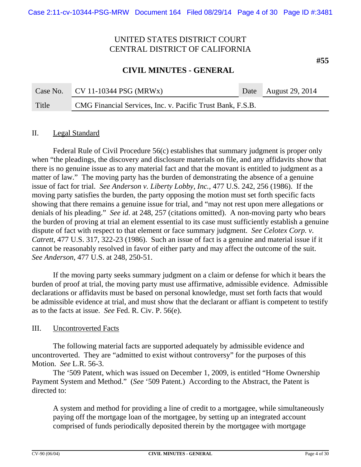### **CIVIL MINUTES - GENERAL**

Case No. CV 11-10344 PSG (MRWx) Date August 29, 2014 Title CMG Financial Services, Inc. v. Pacific Trust Bank, F.S.B.

### II. Legal Standard

Federal Rule of Civil Procedure 56(c) establishes that summary judgment is proper only when "the pleadings, the discovery and disclosure materials on file, and any affidavits show that there is no genuine issue as to any material fact and that the movant is entitled to judgment as a matter of law." The moving party has the burden of demonstrating the absence of a genuine issue of fact for trial. *See Anderson v. Liberty Lobby, Inc.*, 477 U.S. 242, 256 (1986). If the moving party satisfies the burden, the party opposing the motion must set forth specific facts showing that there remains a genuine issue for trial, and "may not rest upon mere allegations or denials of his pleading." *See id*. at 248, 257 (citations omitted). A non-moving party who bears the burden of proving at trial an element essential to its case must sufficiently establish a genuine dispute of fact with respect to that element or face summary judgment. *See Celotex Corp. v. Catrett*, 477 U.S. 317, 322-23 (1986). Such an issue of fact is a genuine and material issue if it cannot be reasonably resolved in favor of either party and may affect the outcome of the suit. *See Anderson*, 477 U.S. at 248, 250-51.

If the moving party seeks summary judgment on a claim or defense for which it bears the burden of proof at trial, the moving party must use affirmative, admissible evidence. Admissible declarations or affidavits must be based on personal knowledge, must set forth facts that would be admissible evidence at trial, and must show that the declarant or affiant is competent to testify as to the facts at issue. *See* Fed. R. Civ. P. 56(e).

### III. Uncontroverted Facts

The following material facts are supported adequately by admissible evidence and uncontroverted. They are "admitted to exist without controversy" for the purposes of this Motion. *See* L.R. 56-3.

The '509 Patent, which was issued on December 1, 2009, is entitled "Home Ownership Payment System and Method." (*See* '509 Patent.) According to the Abstract, the Patent is directed to:

A system and method for providing a line of credit to a mortgagee, while simultaneously paying off the mortgage loan of the mortgagee, by setting up an integrated account comprised of funds periodically deposited therein by the mortgagee with mortgage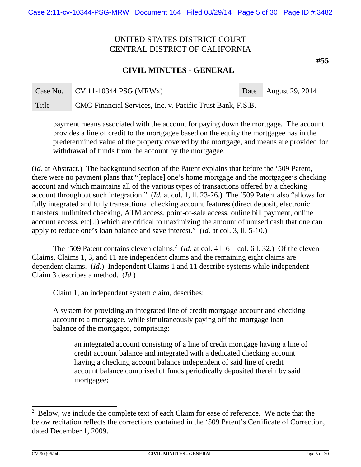### **CIVIL MINUTES - GENERAL**

| Case No. | $CV 11-10344 PSG (MRWx)$                                   | Date August 29, 2014 |
|----------|------------------------------------------------------------|----------------------|
| Title    | CMG Financial Services, Inc. v. Pacific Trust Bank, F.S.B. |                      |

payment means associated with the account for paying down the mortgage. The account provides a line of credit to the mortgagee based on the equity the mortgagee has in the predetermined value of the property covered by the mortgage, and means are provided for withdrawal of funds from the account by the mortgagee.

(*Id.* at Abstract.)The background section of the Patent explains that before the '509 Patent, there were no payment plans that "[replace] one's home mortgage and the mortgagee's checking account and which maintains all of the various types of transactions offered by a checking account throughout such integration." (*Id.* at col. 1, ll. 23-26.) The '509 Patent also "allows for fully integrated and fully transactional checking account features (direct deposit, electronic transfers, unlimited checking, ATM access, point-of-sale access, online bill payment, online account access, etc[.]) which are critical to maximizing the amount of unused cash that one can apply to reduce one's loan balance and save interest." (*Id.* at col. 3, ll. 5-10.)

The '509 Patent contains eleven claims.<sup>2</sup> (*Id.* at col. 4 l.  $6 - \text{col. } 61.32$ .) Of the eleven Claims, Claims 1, 3, and 11 are independent claims and the remaining eight claims are dependent claims. (*Id.*) Independent Claims 1 and 11 describe systems while independent Claim 3 describes a method. (*Id.*)

Claim 1, an independent system claim, describes:

A system for providing an integrated line of credit mortgage account and checking account to a mortgagee, while simultaneously paying off the mortgage loan balance of the mortgagor, comprising:

an integrated account consisting of a line of credit mortgage having a line of credit account balance and integrated with a dedicated checking account having a checking account balance independent of said line of credit account balance comprised of funds periodically deposited therein by said mortgagee;

 $2$  Below, we include the complete text of each Claim for ease of reference. We note that the below recitation reflects the corrections contained in the '509 Patent's Certificate of Correction, dated December 1, 2009.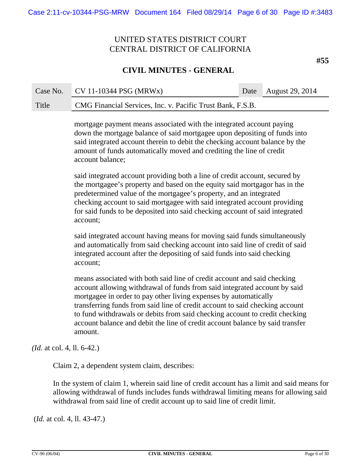### **CIVIL MINUTES - GENERAL**

Case No. CV 11-10344 PSG (MRWx) Date August 29, 2014 Title CMG Financial Services, Inc. v. Pacific Trust Bank, F.S.B.

> mortgage payment means associated with the integrated account paying down the mortgage balance of said mortgagee upon depositing of funds into said integrated account therein to debit the checking account balance by the amount of funds automatically moved and crediting the line of credit account balance;

said integrated account providing both a line of credit account, secured by the mortgagee's property and based on the equity said mortgagor has in the predetermined value of the mortgagee's property, and an integrated checking account to said mortgagee with said integrated account providing for said funds to be deposited into said checking account of said integrated account;

said integrated account having means for moving said funds simultaneously and automatically from said checking account into said line of credit of said integrated account after the depositing of said funds into said checking account;

means associated with both said line of credit account and said checking account allowing withdrawal of funds from said integrated account by said mortgagee in order to pay other living expenses by automatically transferring funds from said line of credit account to said checking account to fund withdrawals or debits from said checking account to credit checking account balance and debit the line of credit account balance by said transfer amount.

*(Id.* at col. 4, ll. 6-42.)

Claim 2, a dependent system claim, describes:

In the system of claim 1, wherein said line of credit account has a limit and said means for allowing withdrawal of funds includes funds withdrawal limiting means for allowing said withdrawal from said line of credit account up to said line of credit limit.

(*Id.* at col. 4, ll. 43-47.)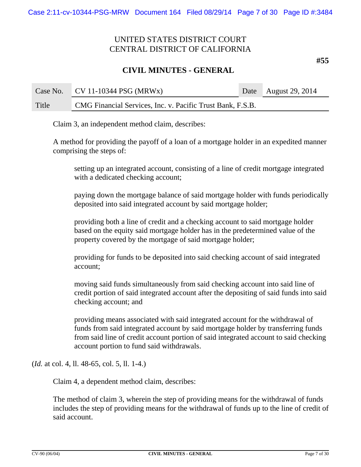### **CIVIL MINUTES - GENERAL**

| Case No. | $CV 11-10344 PSG (MRWx)$                                   | Date August 29, 2014 |
|----------|------------------------------------------------------------|----------------------|
| Title    | CMG Financial Services, Inc. v. Pacific Trust Bank, F.S.B. |                      |

Claim 3, an independent method claim, describes:

A method for providing the payoff of a loan of a mortgage holder in an expedited manner comprising the steps of:

setting up an integrated account, consisting of a line of credit mortgage integrated with a dedicated checking account;

paying down the mortgage balance of said mortgage holder with funds periodically deposited into said integrated account by said mortgage holder;

providing both a line of credit and a checking account to said mortgage holder based on the equity said mortgage holder has in the predetermined value of the property covered by the mortgage of said mortgage holder;

providing for funds to be deposited into said checking account of said integrated account;

moving said funds simultaneously from said checking account into said line of credit portion of said integrated account after the depositing of said funds into said checking account; and

providing means associated with said integrated account for the withdrawal of funds from said integrated account by said mortgage holder by transferring funds from said line of credit account portion of said integrated account to said checking account portion to fund said withdrawals.

(*Id.* at col. 4, ll. 48-65, col. 5, ll. 1-4.)

Claim 4, a dependent method claim, describes:

The method of claim 3, wherein the step of providing means for the withdrawal of funds includes the step of providing means for the withdrawal of funds up to the line of credit of said account.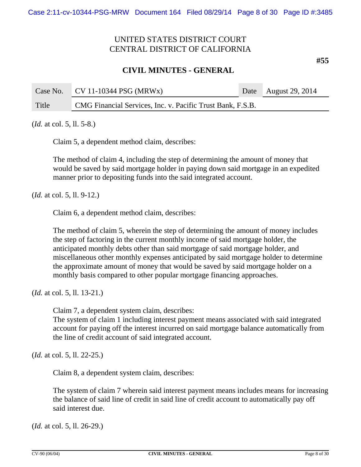### **CIVIL MINUTES - GENERAL**

Case No. CV 11-10344 PSG (MRWx) Date August 29, 2014 Title CMG Financial Services, Inc. v. Pacific Trust Bank, F.S.B.

(*Id.* at col. 5, ll. 5-8.)

Claim 5, a dependent method claim, describes:

The method of claim 4, including the step of determining the amount of money that would be saved by said mortgage holder in paying down said mortgage in an expedited manner prior to depositing funds into the said integrated account.

(*Id.* at col. 5, ll. 9-12.)

Claim 6, a dependent method claim, describes:

The method of claim 5, wherein the step of determining the amount of money includes the step of factoring in the current monthly income of said mortgage holder, the anticipated monthly debts other than said mortgage of said mortgage holder, and miscellaneous other monthly expenses anticipated by said mortgage holder to determine the approximate amount of money that would be saved by said mortgage holder on a monthly basis compared to other popular mortgage financing approaches.

(*Id.* at col. 5, ll. 13-21.)

Claim 7, a dependent system claim, describes:

The system of claim 1 including interest payment means associated with said integrated account for paying off the interest incurred on said mortgage balance automatically from the line of credit account of said integrated account.

(*Id.* at col. 5, ll. 22-25.)

Claim 8, a dependent system claim, describes:

The system of claim 7 wherein said interest payment means includes means for increasing the balance of said line of credit in said line of credit account to automatically pay off said interest due.

(*Id.* at col. 5, ll. 26-29.)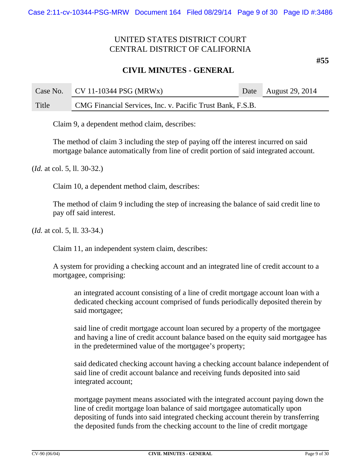### **CIVIL MINUTES - GENERAL**

Case No. CV 11-10344 PSG (MRWx) Date August 29, 2014 Title CMG Financial Services, Inc. v. Pacific Trust Bank, F.S.B.

Claim 9, a dependent method claim, describes:

The method of claim 3 including the step of paying off the interest incurred on said mortgage balance automatically from line of credit portion of said integrated account.

(*Id.* at col. 5, ll. 30-32.)

Claim 10, a dependent method claim, describes:

The method of claim 9 including the step of increasing the balance of said credit line to pay off said interest.

(*Id.* at col. 5, ll. 33-34.)

Claim 11, an independent system claim, describes:

A system for providing a checking account and an integrated line of credit account to a mortgagee, comprising:

an integrated account consisting of a line of credit mortgage account loan with a dedicated checking account comprised of funds periodically deposited therein by said mortgagee;

said line of credit mortgage account loan secured by a property of the mortgagee and having a line of credit account balance based on the equity said mortgagee has in the predetermined value of the mortgagee's property;

said dedicated checking account having a checking account balance independent of said line of credit account balance and receiving funds deposited into said integrated account;

mortgage payment means associated with the integrated account paying down the line of credit mortgage loan balance of said mortgagee automatically upon depositing of funds into said integrated checking account therein by transferring the deposited funds from the checking account to the line of credit mortgage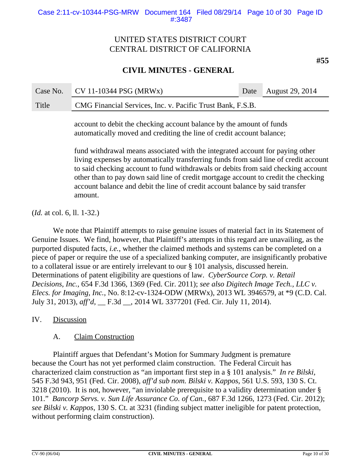# **CIVIL MINUTES - GENERAL**

Case No. CV 11-10344 PSG (MRWx) Date August 29, 2014 Title CMG Financial Services, Inc. v. Pacific Trust Bank, F.S.B.

> account to debit the checking account balance by the amount of funds automatically moved and crediting the line of credit account balance;

fund withdrawal means associated with the integrated account for paying other living expenses by automatically transferring funds from said line of credit account to said checking account to fund withdrawals or debits from said checking account other than to pay down said line of credit mortgage account to credit the checking account balance and debit the line of credit account balance by said transfer amount.

(*Id.* at col. 6, ll. 1-32.)

We note that Plaintiff attempts to raise genuine issues of material fact in its Statement of Genuine Issues. We find, however, that Plaintiff's attempts in this regard are unavailing, as the purported disputed facts, *i.e.*, whether the claimed methods and systems can be completed on a piece of paper or require the use of a specialized banking computer, are insignificantly probative to a collateral issue or are entirely irrelevant to our § 101 analysis, discussed herein. Determinations of patent eligibility are questions of law. *CyberSource Corp. v. Retail Decisions, Inc.*, 654 F.3d 1366, 1369 (Fed. Cir. 2011); *see also Digitech Image Tech., LLC v. Elecs. for Imaging, Inc.*, No. 8:12-cv-1324-ODW (MRWx), 2013 WL 3946579, at \*9 (C.D. Cal. July 31, 2013), *aff'd,* \_\_ F.3d \_\_, 2014 WL 3377201 (Fed. Cir. July 11, 2014).

### IV. Discussion

### A. Claim Construction

Plaintiff argues that Defendant's Motion for Summary Judgment is premature because the Court has not yet performed claim construction. The Federal Circuit has characterized claim construction as "an important first step in a § 101 analysis." *In re Bilski,* 545 F.3d 943, 951 (Fed. Cir. 2008), *aff'd sub nom. Bilski v. Kappos*, 561 U.S. 593, 130 S. Ct. 3218 (2010). It is not, however, "an inviolable prerequisite to a validity determination under § 101." *Bancorp Servs. v. Sun Life Assurance Co. of Can.*, 687 F.3d 1266, 1273 (Fed. Cir. 2012); *see Bilski v. Kappos*, 130 S. Ct. at 3231 (finding subject matter ineligible for patent protection, without performing claim construction).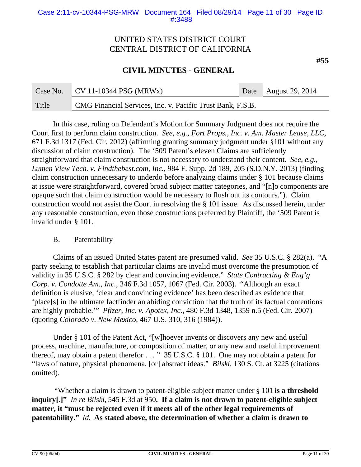### **CIVIL MINUTES - GENERAL**

| Case No. | $CV 11-10344 PSG (MRWx)$                                   | Date August 29, 2014 |
|----------|------------------------------------------------------------|----------------------|
| Title    | CMG Financial Services, Inc. v. Pacific Trust Bank, F.S.B. |                      |

In this case, ruling on Defendant's Motion for Summary Judgment does not require the Court first to perform claim construction. *See, e.g., Fort Props., Inc. v. Am. Master Lease, LLC,* 671 F.3d 1317 (Fed. Cir. 2012) (affirming granting summary judgment under §101 without any discussion of claim construction). The '509 Patent's eleven Claims are sufficiently straightforward that claim construction is not necessary to understand their content. *See*, *e.g.*, *Lumen View Tech. v. Findthebest.com, Inc.*, 984 F. Supp. 2d 189, 205 (S.D.N.Y. 2013) (finding claim construction unnecessary to underdo before analyzing claims under § 101 because claims at issue were straightforward, covered broad subject matter categories, and "[n]o components are opaque such that claim construction would be necessary to flush out its contours."). Claim construction would not assist the Court in resolving the § 101 issue. As discussed herein, under any reasonable construction, even those constructions preferred by Plaintiff, the '509 Patent is invalid under § 101.

### B. Patentability

Claims of an issued United States patent are presumed valid. *See* 35 U.S.C. § 282(a). "A party seeking to establish that particular claims are invalid must overcome the presumption of validity in 35 U.S.C. § 282 by clear and convincing evidence." *State Contracting & Eng'g Corp. v. Condotte Am., Inc.,* 346 F.3d 1057, 1067 (Fed. Cir. 2003). "Although an exact definition is elusive, 'clear and convincing evidence' has been described as evidence that 'place[s] in the ultimate factfinder an abiding conviction that the truth of its factual contentions are highly probable.'" *Pfizer, Inc. v. Apotex, Inc.,* 480 F.3d 1348, 1359 n.5 (Fed. Cir. 2007) (quoting *Colorado v. New Mexico,* 467 U.S. 310, 316 (1984)).

Under § 101 of the Patent Act, "[w]hoever invents or discovers any new and useful process, machine, manufacture, or composition of matter, or any new and useful improvement thereof, may obtain a patent therefor . . . " 35 U.S.C. § 101. One may not obtain a patent for "laws of nature, physical phenomena, [or] abstract ideas." *Bilski*, 130 S. Ct. at 3225 (citations omitted).

"Whether a claim is drawn to patent-eligible subject matter under § 101 **is a threshold inquiry[.]"** *In re Bilski,* 545 F.3d at 950**. If a claim is not drawn to patent-eligible subject matter, it "must be rejected even if it meets all of the other legal requirements of patentability."** *Id.* **As stated above, the determination of whether a claim is drawn to**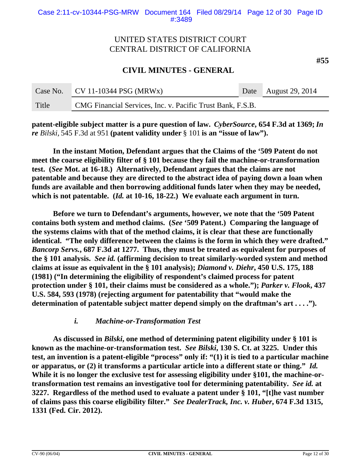**CIVIL MINUTES - GENERAL**

| Case No. | $CV 11-10344 PSG (MRWx)$                                   | Date August 29, 2014 |
|----------|------------------------------------------------------------|----------------------|
| Title    | CMG Financial Services, Inc. v. Pacific Trust Bank, F.S.B. |                      |

**patent-eligible subject matter is a pure question of law.** *CyberSource***, 654 F.3d at 1369;** *In re Bilski,* 545 F.3d at 951 **(patent validity under** § 101 **is an "issue of law").**

**In the instant Motion, Defendant argues that the Claims of the '509 Patent do not meet the coarse eligibility filter of § 101 because they fail the machine-or-transformation test. (***See* **Mot. at 16-18.) Alternatively, Defendant argues that the claims are not patentable and because they are directed to the abstract idea of paying down a loan when funds are available and then borrowing additional funds later when they may be needed, which is not patentable. (***Id.* **at 10-16, 18-22.) We evaluate each argument in turn.** 

**Before we turn to Defendant's arguments, however, we note that the '509 Patent contains both system and method claims. (***See* **'509 Patent.) Comparing the language of the systems claims with that of the method claims, it is clear that these are functionally identical. "The only difference between the claims is the form in which they were drafted."**  *Bancorp Servs.***, 687 F.3d at 1277. Thus, they must be treated as equivalent for purposes of the § 101 analysis.** *See id.* **(affirming decision to treat similarly-worded system and method claims at issue as equivalent in the § 101 analysis);** *Diamond v. Diehr***, 450 U.S. 175, 188 (1981) ("In determining the eligibility of respondent's claimed process for patent protection under § 101, their claims must be considered as a whole.");** *Parker v. Flook***, 437 U.S. 584, 593 (1978) (rejecting argument for patentability that "would make the determination of patentable subject matter depend simply on the draftman's art . . . .").**

### *i. Machine-or-Transformation Test*

**As discussed in** *Bilski***, one method of determining patent eligibility under § 101 is known as the machine-or-transformation test.** *See Bilski***, 130 S. Ct. at 3225. Under this test, an invention is a patent-eligible "process" only if: "(1) it is tied to a particular machine or apparatus, or (2) it transforms a particular article into a different state or thing."** *Id.* **While it is no longer the exclusive test for assessing eligibility under §101, the machine-ortransformation test remains an investigative tool for determining patentability.** *See id.* **at 3227. Regardless of the method used to evaluate a patent under § 101, "[t]he vast number of claims pass this coarse eligibility filter."** *See DealerTrack, Inc. v. Huber***, 674 F.3d 1315, 1331 (Fed. Cir. 2012).**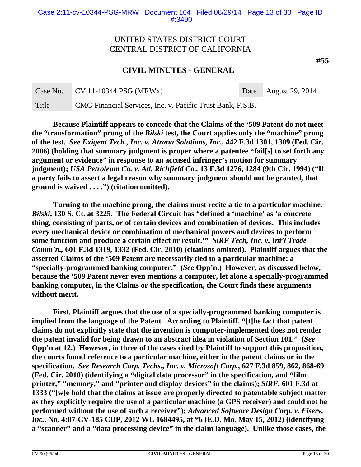### **CIVIL MINUTES - GENERAL**

| Case No. | $\sqrt{CV 11-10344} PSG (MRWx)$                            | Date August 29, 2014 |
|----------|------------------------------------------------------------|----------------------|
| Title    | CMG Financial Services, Inc. v. Pacific Trust Bank, F.S.B. |                      |

**Because Plaintiff appears to concede that the Claims of the '509 Patent do not meet the "transformation" prong of the** *Bilski* **test, the Court applies only the "machine" prong of the test.** *See Exigent Tech., Inc. v. Atrana Solutions, Inc.,* **442 F.3d 1301, 1309 (Fed. Cir. 2006) (holding that summary judgment is proper where a patentee "fail[s] to set forth any argument or evidence" in response to an accused infringer's motion for summary judgment);** *USA Petroleum Co. v. Atl. Richfield Co.,* **13 F.3d 1276, 1284 (9th Cir. 1994) ("If a party fails to assert a legal reason why summary judgment should not be granted, that ground is waived . . . .") (citation omitted).**

**Turning to the machine prong, the claims must recite a tie to a particular machine.**  *Bilski***, 130 S. Ct. at 3225. The Federal Circuit has "defined a 'machine' as 'a concrete thing, consisting of parts, or of certain devices and combination of devices. This includes every mechanical device or combination of mechanical powers and devices to perform some function and produce a certain effect or result.'"** *SiRF Tech, Inc. v. Int'l Trade Comm'n.,* **601 F.3d 1319, 1332 (Fed. Cir. 2010) (citations omitted). Plaintiff argues that the asserted Claims of the '509 Patent are necessarily tied to a particular machine: a "specially-programmed banking computer." (***See* **Opp'n.) However, as discussed below, because the '509 Patent never even mentions a computer, let alone a specially-programmed banking computer, in the Claims or the specification, the Court finds these arguments without merit.** 

**First, Plaintiff argues that the use of a specially-programmed banking computer is implied from the language of the Patent. According to Plaintiff, "[t]he fact that patent claims do not explicitly state that the invention is computer-implemented does not render the patent invalid for being drawn to an abstract idea in violation of Section 101." (***See* **Opp'n at 12.) However, in three of the cases cited by Plaintiff to support this proposition, the courts found reference to a particular machine, either in the patent claims or in the specification.** *See Research Corp. Techs., Inc. v. Microsoft Corp.***, 627 F.3d 859, 862, 868-69 (Fed. Cir. 2010) (identifying a "digital data processor" in the specification, and "film printer," "memory," and "printer and display devices" in the claims);** *SiRF***, 601 F.3d at 1333 ("[w]e hold that the claims at issue are properly directed to patentable subject matter as they explicitly require the use of a particular machine (a GPS receiver) and could not be performed without the use of such a receiver");** *Advanced Software Design Corp. v. Fiserv, Inc.***, No. 4:07-CV-185 CDP, 2012 WL 1684495, at \*6 (E.D. Mo. May 15, 2012) (identifying a "scanner" and a "data processing device" in the claim language). Unlike those cases, the**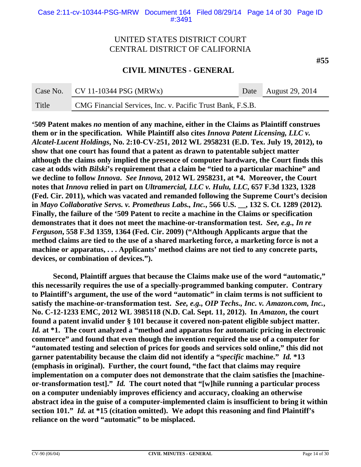**CIVIL MINUTES - GENERAL**

| Case No. | $CV 11-10344 PSG (MRWx)$                                   | Date August 29, 2014 |
|----------|------------------------------------------------------------|----------------------|
| Title    | CMG Financial Services, Inc. v. Pacific Trust Bank, F.S.B. |                      |

**'509 Patent makes** *no* **mention of any machine, either in the Claims as Plaintiff construes them or in the specification. While Plaintiff also cites** *Innova Patent Licensing, LLC v. Alcatel-Lucent Holdings***, No. 2:10-CV-251, 2012 WL 2958231 (E.D. Tex. July 19, 2012), to show that one court has found that a patent as drawn to patentable subject matter although the claims only implied the presence of computer hardware, the Court finds this case at odds with** *Bilski***'s requirement that a claim be "tied to a particular machine" and we decline to follow** *Innova***.** *See Innova,* **2012 WL 2958231, at \*4. Moreover, the Court notes that** *Innova* **relied in part on** *Ultramercial, LLC v. Hulu, LLC***, 657 F.3d 1323, 1328 (Fed. Cir. 2011), which was vacated and remanded following the Supreme Court's decision in** *Mayo Collaborative Servs. v. Prometheus Labs., Inc.***, 566 U.S. \_\_, 132 S. Ct. 1289 (2012)***.*  **Finally, the failure of the '509 Patent to recite a machine in the Claims or specification demonstrates that it does not meet the machine-or-transformation test.** *See, e.g., In re Ferguson***, 558 F.3d 1359, 1364 (Fed. Cir. 2009) ("Although Applicants argue that the method claims are tied to the use of a shared marketing force, a marketing force is not a machine or apparatus, . . . Applicants' method claims are not tied to any concrete parts, devices, or combination of devices.").** 

**Second, Plaintiff argues that because the Claims make use of the word "automatic," this necessarily requires the use of a specially-programmed banking computer. Contrary to Plaintiff's argument, the use of the word "automatic" in claim terms is not sufficient to satisfy the machine-or-transformation test.** *See, e.g., OIP Techs., Inc. v. Amazon.com, Inc.***, No. C-12-1233 EMC, 2012 WL 3985118 (N.D. Cal. Sept. 11, 2012). In** *Amazon***, the court found a patent invalid under § 101 because it covered non-patent eligible subject matter.**  *Id.* **at \*1. The court analyzed a "method and apparatus for automatic pricing in electronic commerce" and found that even though the invention required the use of a computer for "automated testing and selection of prices for goods and services sold online," this did not garner patentability because the claim did not identify a "***specific* **machine."** *Id.* **\*13 (emphasis in original). Further, the court found, "the fact that claims may require implementation on a computer does not demonstrate that the claim satisfies the [machineor-transformation test]."** *Id.* **The court noted that "[w]hile running a particular process on a computer undeniably improves efficiency and accuracy, cloaking an otherwise abstract idea in the guise of a computer-implemented claim is insufficient to bring it within section 101."** *Id.* **at \*15 (citation omitted). We adopt this reasoning and find Plaintiff's reliance on the word "automatic" to be misplaced.**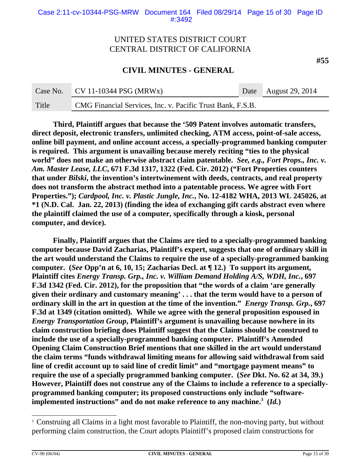**CIVIL MINUTES - GENERAL**

|       | Case No. $CV 11-10344 PSG (MRWx)$                          | Date August 29, 2014 |
|-------|------------------------------------------------------------|----------------------|
| Title | CMG Financial Services, Inc. v. Pacific Trust Bank, F.S.B. |                      |

**Third, Plaintiff argues that because the '509 Patent involves automatic transfers, direct deposit, electronic transfers, unlimited checking, ATM access, point-of-sale access, online bill payment, and online account access, a specially-programmed banking computer is required. This argument is unavailing because merely reciting "ties to the physical world" does not make an otherwise abstract claim patentable.** *See, e.g., Fort Props., Inc. v. Am. Master Lease, LLC***, 671 F.3d 1317, 1322 (Fed. Cir. 2012) ("Fort Properties counters that under** *Bilski***, the invention's intertwinement with deeds, contracts, and real property does not transform the abstract method into a patentable process. We agree with Fort Properties.");** *Cardpool, Inc. v. Plastic Jungle, Inc.***, No. 12-4182 WHA, 2013 WL 245026, at \*1 (N.D. Cal. Jan. 22, 2013) (finding the idea of exchanging gift cards abstract even where the plaintiff claimed the use of a computer, specifically through a kiosk, personal computer, and device).**

**Finally, Plaintiff argues that the Claims are tied to a specially-programmed banking computer because David Zacharias, Plaintiff's expert, suggests that one of ordinary skill in the art would understand the Claims to require the use of a specially-programmed banking computer. (***See* **Opp'n at 6, 10, 15; Zacharias Decl. at** *¶* **12.) To support its argument, Plaintiff cites** *Energy Transp. Grp., Inc. v. William Demand Holding A/S, WDH, Inc.***, 697 F.3d 1342 (Fed. Cir. 2012), for the proposition that "the words of a claim 'are generally given their ordinary and customary meaning' . . . that the term would have to a person of ordinary skill in the art in question at the time of the invention."** *Energy Transp. Grp.***, 697 F.3d at 1349 (citation omitted). While we agree with the general proposition espoused in** *Energy Transportation Group***, Plaintiff's argument is unavailing because nowhere in its claim construction briefing does Plaintiff suggest that the Claims should be construed to include the use of a specially-programmed banking computer. Plaintiff's Amended Opening Claim Construction Brief mentions that one skilled in the art would understand the claim terms "funds withdrawal limiting means for allowing said withdrawal from said line of credit account up to said line of credit limit" and "mortgage payment means" to require the use of a specially programmed banking computer. (***See* **Dkt. No. 62 at 34, 39.) However, Plaintiff does not construe any of the Claims to include a reference to a speciallyprogrammed banking computer; its proposed constructions only include "softwareimplemented instructions" and do not make reference to any machine.3 (***Id.***)**

<sup>&</sup>lt;sup>3</sup> Construing all Claims in a light most favorable to Plaintiff, the non-moving party, but without performing claim construction, the Court adopts Plaintiff's proposed claim constructions for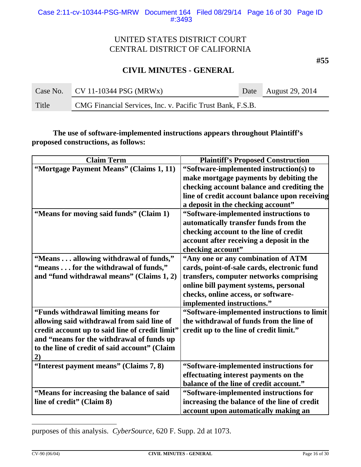**#55**

# **CIVIL MINUTES - GENERAL**

|       | Case No. $\vert$ CV 11-10344 PSG (MRWx)                    | Date August 29, 2014 |
|-------|------------------------------------------------------------|----------------------|
| Title | CMG Financial Services, Inc. v. Pacific Trust Bank, F.S.B. |                      |

**The use of software-implemented instructions appears throughout Plaintiff's proposed constructions, as follows:**

| <b>Claim Term</b>                               | <b>Plaintiff's Proposed Construction</b>      |
|-------------------------------------------------|-----------------------------------------------|
| "Mortgage Payment Means" (Claims 1, 11)         | "Software-implemented instruction(s) to       |
|                                                 | make mortgage payments by debiting the        |
|                                                 | checking account balance and crediting the    |
|                                                 | line of credit account balance upon receiving |
|                                                 | a deposit in the checking account"            |
| "Means for moving said funds" (Claim 1)         | "Software-implemented instructions to         |
|                                                 | automatically transfer funds from the         |
|                                                 | checking account to the line of credit        |
|                                                 | account after receiving a deposit in the      |
|                                                 | checking account"                             |
| "Means allowing withdrawal of funds,"           | "Any one or any combination of ATM            |
| "means for the withdrawal of funds,"            | cards, point-of-sale cards, electronic fund   |
| and "fund withdrawal means" (Claims 1, 2)       | transfers, computer networks comprising       |
|                                                 | online bill payment systems, personal         |
|                                                 | checks, online access, or software-           |
|                                                 | implemented instructions."                    |
| "Funds withdrawal limiting means for            | "Software-implemented instructions to limit   |
| allowing said withdrawal from said line of      | the withdrawal of funds from the line of      |
| credit account up to said line of credit limit" | credit up to the line of credit limit."       |
| and "means for the withdrawal of funds up       |                                               |
| to the line of credit of said account" (Claim   |                                               |
| 2)                                              |                                               |
| "Interest payment means" (Claims 7, 8)          | "Software-implemented instructions for        |
|                                                 | effectuating interest payments on the         |
|                                                 | balance of the line of credit account."       |
| "Means for increasing the balance of said       | "Software-implemented instructions for        |
| line of credit" (Claim 8)                       | increasing the balance of the line of credit  |
|                                                 | account upon automatically making an          |

purposes of this analysis. *CyberSource*, 620 F. Supp. 2d at 1073.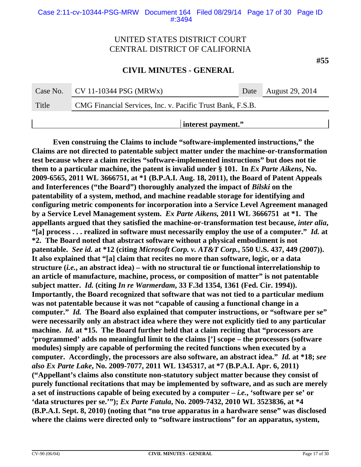### **CIVIL MINUTES - GENERAL**

| Case No.           | $CV 11-10344 PSG (MRWx)$                                   |  | Date August 29, 2014 |  |  |
|--------------------|------------------------------------------------------------|--|----------------------|--|--|
| Title              | CMG Financial Services, Inc. v. Pacific Trust Bank, F.S.B. |  |                      |  |  |
| interest payment." |                                                            |  |                      |  |  |

**Even construing the Claims to include "software-implemented instructions," the Claims are not directed to patentable subject matter under the machine-or-transformation test because where a claim recites "software-implemented instructions" but does not tie them to a particular machine, the patent is invalid under § 101. In Ex Parte Aikens, No. 2009-6565, 2011 WL 3666751, at \*1 (B.P.A.I. Aug. 18, 2011), the Board of Patent Appeals and Interferences ("the Board") thoroughly analyzed the impact of** *Bilski* **on the patentability of a system, method, and machine readable storage for identifying and configuring metric components for incorporation into a Service Level Agreement managed by a Service Level Management system.** *Ex Parte Aikens,* **2011 WL 3666751 at \*1. The appellants argued that they satisfied the machine-or-transformation test because,** *inter alia***, "[a] process . . . realized in software must necessarily employ the use of a computer."** *Id.* **at \*2. The Board noted that abstract software without a physical embodiment is not patentable.** *See id.* **at \*12 (citing** *Microsoft Corp. v. AT&T Corp.***, 550 U.S. 437, 449 (2007)). It also explained that "[a] claim that recites no more than software, logic, or a data structure (***i.e.***, an abstract idea) – with no structural tie or functional interrelationship to an article of manufacture, machine, process, or composition of matter" is not patentable subject matter.** *Id.* **(citing** *In re Warmerdam***, 33 F.3d 1354, 1361 (Fed. Cir. 1994)). Importantly, the Board recognized that software that was not tied to a particular medium was not patentable because it was not "capable of causing a functional change in a computer."** *Id.* **The Board also explained that computer instructions, or "software per se" were necessarily only an abstract idea where they were not explicitly tied to any particular machine.** *Id.* **at \*15. The Board further held that a claim reciting that "processors are 'programmed' adds no meaningful limit to the claims ['] scope – the processors (software modules) simply are capable of performing the recited functions when executed by a computer. Accordingly, the processors are also software, an abstract idea."** *Id.* **at \*18;** *see also Ex Parte Lake***, No. 2009-7077, 2011 WL 1345317, at \*7 (B.P.A.I. Apr. 6, 2011) ("Appellant's claims also constitute non-statutory subject matter because they consist of purely functional recitations that may be implemented by software, and as such are merely a set of instructions capable of being executed by a computer –** *i.e.***, 'software per se' or 'data structures per se.'");** *Ex Parte Fatula***, No. 2009-7432, 2010 WL 3523836, at \*4 (B.P.A.I. Sept. 8, 2010) (noting that "no true apparatus in a hardware sense" was disclosed where the claims were directed only to "software instructions" for an apparatus, system,**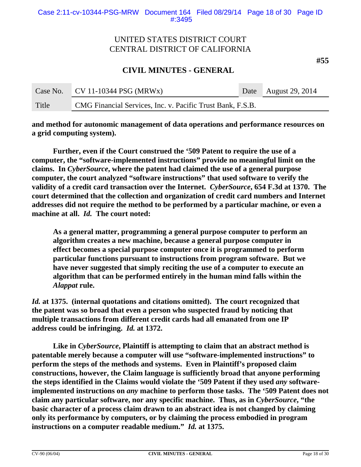**#55**

# **CIVIL MINUTES - GENERAL**

| Case No. | $\sqrt{C}$ CV 11-10344 PSG (MRWx)                          | Date August 29, 2014 |
|----------|------------------------------------------------------------|----------------------|
| Title    | CMG Financial Services, Inc. v. Pacific Trust Bank, F.S.B. |                      |

**and method for autonomic management of data operations and performance resources on a grid computing system).**

**Further, even if the Court construed the '509 Patent to require the use of a computer, the "software-implemented instructions" provide no meaningful limit on the claims. In** *CyberSource***, where the patent had claimed the use of a general purpose computer, the court analyzed "software instructions" that used software to verify the validity of a credit card transaction over the Internet.** *CyberSource***, 654 F.3d at 1370. The court determined that the collection and organization of credit card numbers and Internet addresses did not require the method to be performed by a particular machine, or even a machine at all.** *Id.* **The court noted:**

**As a general matter, programming a general purpose computer to perform an algorithm creates a new machine, because a general purpose computer in effect becomes a special purpose computer once it is programmed to perform particular functions pursuant to instructions from program software. But we have never suggested that simply reciting the use of a computer to execute an algorithm that can be performed entirely in the human mind falls within the** *Alappat* **rule.** 

*Id.* **at 1375. (internal quotations and citations omitted). The court recognized that the patent was so broad that even a person who suspected fraud by noticing that multiple transactions from different credit cards had all emanated from one IP address could be infringing.** *Id.* **at 1372.** 

**Like in** *CyberSource***, Plaintiff is attempting to claim that an abstract method is patentable merely because a computer will use "software-implemented instructions" to perform the steps of the methods and systems. Even in Plaintiff's proposed claim constructions, however, the Claim language is sufficiently broad that anyone performing the steps identified in the Claims would violate the '509 Patent if they used** *any* **softwareimplemented instructions on** *any* **machine to perform those tasks. The '509 Patent does not claim any particular software, nor any specific machine. Thus, as in** *CyberSource***, "the basic character of a process claim drawn to an abstract idea is not changed by claiming only its performance by computers, or by claiming the process embodied in program instructions on a computer readable medium."** *Id.* **at 1375.**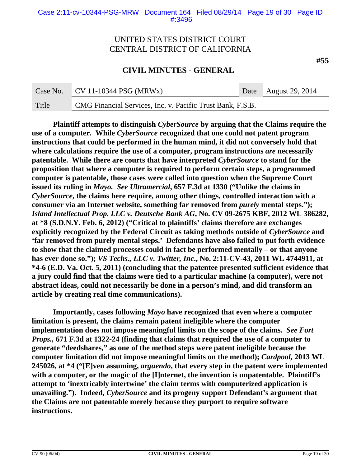### **CIVIL MINUTES - GENERAL**

| Case No. | $\sqrt{C}$ CV 11-10344 PSG (MRWx)                          | Date August 29, 2014 |
|----------|------------------------------------------------------------|----------------------|
| Title    | CMG Financial Services, Inc. v. Pacific Trust Bank, F.S.B. |                      |

**Plaintiff attempts to distinguish** *CyberSource* **by arguing that the Claims require the use of a computer. While** *CyberSource* **recognized that one could not patent program instructions that could be performed in the human mind, it did not conversely hold that where calculations require the use of a computer, program instructions** *are* **necessarily patentable. While there are courts that have interpreted** *CyberSource* **to stand for the proposition that where a computer is required to perform certain steps, a programmed computer is patentable, those cases were called into question when the Supreme Court issued its ruling in** *Mayo.**See Ultramercial***, 657 F.3d at 1330 ("Unlike the claims in** *CyberSource***, the claims here require, among other things, controlled interaction with a consumer via an Internet website, something far removed from** *purely* **mental steps.");** *Island Intellectual Prop. LLC v. Deutsche Bank AG***, No. CV 09-2675 KBF, 2012 WL 386282, at \*8 (S.D.N.Y. Feb. 6, 2012) ("Critical to plaintiffs' claims therefore are exchanges explicitly recognized by the Federal Circuit as taking methods outside of** *CyberSource* **and 'far removed from purely mental steps.' Defendants have also failed to put forth evidence to show that the claimed processes could in fact be performed mentally – or that anyone has ever done so.");** *VS Techs., LLC v. Twitter, Inc***., No. 2:11-CV-43, 2011 WL 4744911, at \*4-6 (E.D. Va. Oct. 5, 2011) (concluding that the patentee presented sufficient evidence that a jury could find that the claims were tied to a particular machine (a computer), were not abstract ideas, could not necessarily be done in a person's mind, and did transform an article by creating real time communications).** 

**Importantly, cases following** *Mayo* **have recognized that even where a computer limitation is present, the claims remain patent ineligible where the computer implementation does not impose meaningful limits on the scope of the claims.** *See Fort Props.,* **671 F.3d at 1322-24 (finding that claims that required the use of a computer to generate "deedshares," as one of the method steps were patent ineligible because the computer limitation did not impose meaningful limits on the method);** *Cardpool,* **2013 WL 245026, at \*4 ("[E]ven assuming,** *arguendo***, that every step in the patent were implemented with a computer, or the magic of the [I]nternet, the invention is unpatentable. Plaintiff's attempt to 'inextricably intertwine' the claim terms with computerized application is unavailing.").****Indeed,** *CyberSource* **and its progeny support Defendant's argument that the Claims are not patentable merely because they purport to require software instructions.**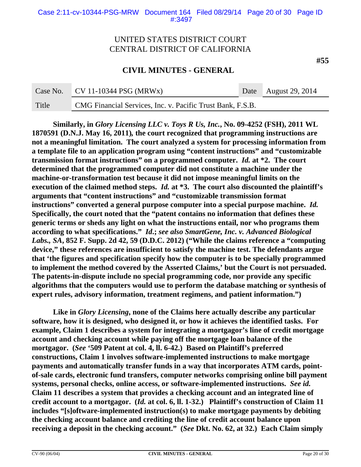**CIVIL MINUTES - GENERAL**

|       | Case No. $CV 11-10344 PSG (MRWx)$                          | Date August 29, 2014 |
|-------|------------------------------------------------------------|----------------------|
| Title | CMG Financial Services, Inc. v. Pacific Trust Bank, F.S.B. |                      |

**Similarly, in** *Glory Licensing LLC v. Toys R Us, Inc.***, No. 09-4252 (FSH), 2011 WL 1870591 (D.N.J. May 16, 2011)***,* **the court recognized that programming instructions are not a meaningful limitation. The court analyzed a system for processing information from a template file to an application program using "content instructions" and "customizable transmission format instructions" on a programmed computer.** *Id.* **at \*2. The court determined that the programmed computer did not constitute a machine under the machine-or-transformation test because it did not impose meaningful limits on the execution of the claimed method steps.** *Id.* **at \*3. The court also discounted the plaintiff's arguments that "content instructions" and "customizable transmission format instructions" converted a general purpose computer into a special purpose machine.** *Id.*  **Specifically, the court noted that the "patent contains no information that defines these generic terms or sheds any light on what the instructions entail, nor who programs them according to what specifications."** *Id***.;** *see also SmartGene, Inc. v. Advanced Biological Labs., SA***, 852 F. Supp. 2d 42, 59 (D.D.C. 2012) ("While the claims reference a "computing device," these references are insufficient to satisfy the machine test. The defendants argue that 'the figures and specification specify how the computer is to be specially programmed to implement the method covered by the Asserted Claims,' but the Court is not persuaded. The patents-in-dispute include no special programming code, nor provide any specific algorithms that the computers would use to perform the database matching or synthesis of expert rules, advisory information, treatment regimens, and patient information.")**

**Like in** *Glory Licensing***, none of the Claims here actually describe any particular software, how it is designed, who designed it, or how it achieves the identified tasks. For example, Claim 1 describes a system for integrating a mortgagor's line of credit mortgage account and checking account while paying off the mortgage loan balance of the mortgagor. (***See* **'509 Patent at col. 4, ll. 6-42.) Based on Plaintiff's preferred constructions, Claim 1 involves software-implemented instructions to make mortgage payments and automatically transfer funds in a way that incorporates ATM cards, pointof-sale cards, electronic fund transfers, computer networks comprising online bill payment systems, personal checks, online access, or software-implemented instructions.** *See id.*  **Claim 11 describes a system that provides a checking account and an integrated line of credit account to a mortgagor. (***Id.* **at col. 6, ll. 1-32.) Plaintiff's construction of Claim 11 includes "[s]oftware-implemented instruction(s) to make mortgage payments by debiting the checking account balance and crediting the line of credit account balance upon receiving a deposit in the checking account." (***See* **Dkt. No. 62, at 32.) Each Claim simply**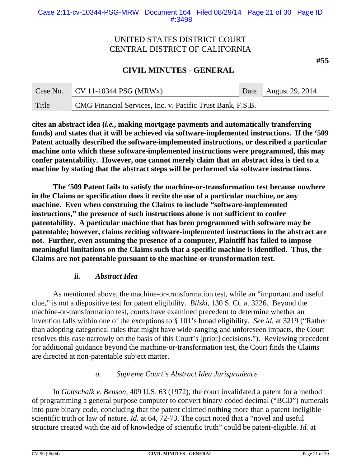**#55**

# **CIVIL MINUTES - GENERAL**

| Case No. | ¶ CV 11-10344 PSG (MRWx)                                   | Date August 29, 2014 |
|----------|------------------------------------------------------------|----------------------|
| Title    | CMG Financial Services, Inc. v. Pacific Trust Bank, F.S.B. |                      |

**cites an abstract idea (***i.e.***, making mortgage payments and automatically transferring funds) and states that it will be achieved via software-implemented instructions. If the '509 Patent actually described the software-implemented instructions, or described a particular machine onto which these software-implemented instructions were programmed, this may confer patentability. However, one cannot merely claim that an abstract idea is tied to a machine by stating that the abstract steps will be performed via software instructions.** 

**The '509 Patent fails to satisfy the machine-or-transformation test because nowhere in the Claims or specification does it recite the use of a particular machine, or any machine. Even when construing the Claims to include "software-implemented instructions," the presence of such instructions alone is not sufficient to confer patentability. A particular machine that has been programmed with software may be patentable; however, claims reciting software-implemented instructions in the abstract are not. Further, even assuming the presence of a computer, Plaintiff has failed to impose meaningful limitations on the Claims such that a specific machine is identified. Thus, the Claims are not patentable pursuant to the machine-or-transformation test.**

### *ii. Abstract Idea*

As mentioned above, the machine-or-transformation test, while an "important and useful clue," is not a dispositive test for patent eligibility. *Bilski*, 130 S. Ct. at 3226. Beyond the machine-or-transformation test, courts have examined precedent to determine whether an invention falls within one of the exceptions to § 101's broad eligibility. *See id.* at 3219 ("Rather than adopting categorical rules that might have wide-ranging and unforeseen impacts, the Court resolves this case narrowly on the basis of this Court's [prior] decisions."). Reviewing precedent for additional guidance beyond the machine-or-transformation test, the Court finds the Claims are directed at non-patentable subject matter.

### *a. Supreme Court's Abstract Idea Jurisprudence*

In *Gottschalk v. Benson,* 409 U.S. 63 (1972), the court invalidated a patent for a method of programming a general purpose computer to convert binary-coded decimal ("BCD") numerals into pure binary code, concluding that the patent claimed nothing more than a patent-ineligible scientific truth or law of nature. *Id.* at 64, 72-73. The court noted that a "novel and useful structure created with the aid of knowledge of scientific truth" could be patent-eligible. *Id.* at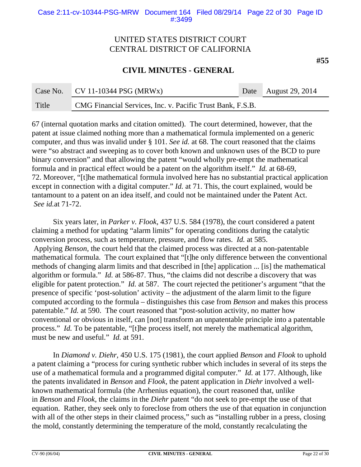### **CIVIL MINUTES - GENERAL**

|       | Case No. $CV 11-10344 PSG (MRWx)$                          | Date August 29, 2014 |
|-------|------------------------------------------------------------|----------------------|
| Title | CMG Financial Services, Inc. v. Pacific Trust Bank, F.S.B. |                      |

67 (internal quotation marks and citation omitted). The court determined, however, that the patent at issue claimed nothing more than a mathematical formula implemented on a generic computer, and thus was invalid under § 101. *See id.* at 68. The court reasoned that the claims were "so abstract and sweeping as to cover both known and unknown uses of the BCD to pure binary conversion" and that allowing the patent "would wholly pre-empt the mathematical formula and in practical effect would be a patent on the algorithm itself." *Id.* at 68-69, 72. Moreover, "[t]he mathematical formula involved here has no substantial practical application except in connection with a digital computer." *Id.* at 71. This, the court explained, would be tantamount to a patent on an idea itself, and could not be maintained under the Patent Act. *See id.*at 71-72.

Six years later, in *Parker v. Flook,* 437 U.S. 584 (1978), the court considered a patent claiming a method for updating "alarm limits" for operating conditions during the catalytic conversion process, such as temperature, pressure, and flow rates. *Id.* at 585. Applying *Benson,* the court held that the claimed process was directed at a non-patentable mathematical formula. The court explained that "[t]he only difference between the conventional methods of changing alarm limits and that described in [the] application ... [is] the mathematical algorithm or formula." *Id.* at 586-87. Thus, "the claims did not describe a discovery that was eligible for patent protection." *Id.* at 587. The court rejected the petitioner's argument "that the presence of specific 'post-solution' activity – the adjustment of the alarm limit to the figure computed according to the formula – distinguishes this case from *Benson* and makes this process patentable." *Id.* at 590. The court reasoned that "post-solution activity, no matter how conventional or obvious in itself, can [not] transform an unpatentable principle into a patentable process." *Id.* To be patentable, "[t]he process itself, not merely the mathematical algorithm, must be new and useful." *Id.* at 591.

In *Diamond v. Diehr,* 450 U.S. 175 (1981), the court applied *Benson* and *Flook* to uphold a patent claiming a "process for curing synthetic rubber which includes in several of its steps the use of a mathematical formula and a programmed digital computer." *Id.* at 177. Although, like the patents invalidated in *Benson* and *Flook,* the patent application in *Diehr* involved a wellknown mathematical formula (the Arrhenius equation), the court reasoned that, unlike in *Benson* and *Flook,* the claims in the *Diehr* patent "do not seek to pre-empt the use of that equation. Rather, they seek only to foreclose from others the use of that equation in conjunction with all of the other steps in their claimed process," such as "installing rubber in a press, closing the mold, constantly determining the temperature of the mold, constantly recalculating the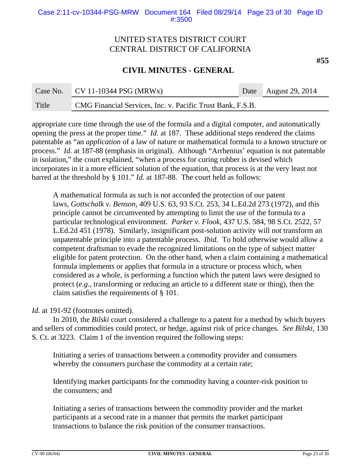#### Case 2:11-cv-10344-PSG-MRW Document 164 Filed 08/29/14 Page 23 of 30 Page ID #:3500

# UNITED STATES DISTRICT COURT CENTRAL DISTRICT OF CALIFORNIA

### **CIVIL MINUTES - GENERAL**

|       | Case No. $CV 11-10344 PSG (MRWx)$                          | Date August 29, 2014 |
|-------|------------------------------------------------------------|----------------------|
| Title | CMG Financial Services, Inc. v. Pacific Trust Bank, F.S.B. |                      |

appropriate cure time through the use of the formula and a digital computer, and automatically opening the press at the proper time." *Id.* at 187. These additional steps rendered the claims patentable as "an *application* of a law of nature or mathematical formula to a known structure or process." *Id.* at 187-88 (emphasis in original). Although "Arrhenius' equation is not patentable in isolation," the court explained, "when a process for curing rubber is devised which incorporates in it a more efficient solution of the equation, that process is at the very least not barred at the threshold by § 101." *Id.* at 187-88. The court held as follows:

A mathematical formula as such is not accorded the protection of our patent laws, *Gottschalk v. Benson,* 409 U.S. 63, 93 S.Ct. 253, 34 L.Ed.2d 273 (1972), and this principle cannot be circumvented by attempting to limit the use of the formula to a particular technological environment. *Parker v. Flook,* 437 U.S. 584, 98 S.Ct. 2522, 57 L.Ed.2d 451 (1978). Similarly, insignificant post-solution activity will not transform an unpatentable principle into a patentable process. *Ibid.* To hold otherwise would allow a competent draftsman to evade the recognized limitations on the type of subject matter eligible for patent protection. On the other hand, when a claim containing a mathematical formula implements or applies that formula in a structure or process which, when considered as a whole, is performing a function which the patent laws were designed to protect (*e.g.,* transforming or reducing an article to a different state or thing), then the claim satisfies the requirements of § 101.

### Id. at 191-92 (footnotes omitted).

In 2010, the *Bilski* court considered a challenge to a patent for a method by which buyers and sellers of commodities could protect, or hedge, against risk of price changes. *See Bilski,* 130 S. Ct. at 3223. Claim 1 of the invention required the following steps:

Initiating a series of transactions between a commodity provider and consumers whereby the consumers purchase the commodity at a certain rate;

Identifying market participants for the commodity having a counter-risk position to the consumers; and

Initiating a series of transactions between the commodity provider and the market participants at a second rate in a manner that permits the market participant transactions to balance the risk position of the consumer transactions.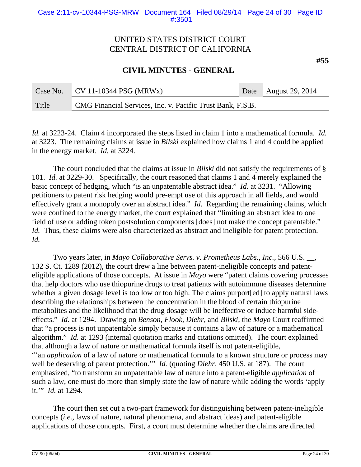**CIVIL MINUTES - GENERAL**

| Case No. | $CV 11-10344 PSG (MRWx)$                                   | Date August 29, 2014 |
|----------|------------------------------------------------------------|----------------------|
| Title    | CMG Financial Services, Inc. v. Pacific Trust Bank, F.S.B. |                      |

*Id.* at 3223-24. Claim 4 incorporated the steps listed in claim 1 into a mathematical formula. *Id.* at 3223. The remaining claims at issue in *Bilski* explained how claims 1 and 4 could be applied in the energy market. *Id.* at 3224.

The court concluded that the claims at issue in *Bilski* did not satisfy the requirements of § 101. *Id.* at 3229-30. Specifically, the court reasoned that claims 1 and 4 merely explained the basic concept of hedging, which "is an unpatentable abstract idea." *Id.* at 3231. "Allowing petitioners to patent risk hedging would pre-empt use of this approach in all fields, and would effectively grant a monopoly over an abstract idea." *Id.* Regarding the remaining claims, which were confined to the energy market, the court explained that "limiting an abstract idea to one field of use or adding token postsolution components [does] not make the concept patentable." *Id.* Thus, these claims were also characterized as abstract and ineligible for patent protection. *Id.*

Two years later, in *Mayo Collaborative Servs. v. Prometheus Labs., Inc.,* 566 U.S. \_\_, 132 S. Ct. 1289 (2012), the court drew a line between patent-ineligible concepts and patenteligible applications of those concepts. At issue in *Mayo* were "patent claims covering processes that help doctors who use thiopurine drugs to treat patients with autoimmune diseases determine whether a given dosage level is too low or too high. The claims purport[ed] to apply natural laws describing the relationships between the concentration in the blood of certain thiopurine metabolites and the likelihood that the drug dosage will be ineffective or induce harmful sideeffects." *Id.* at 1294. Drawing on *Benson, Flook, Diehr,* and *Bilski,* the *Mayo* Court reaffirmed that "a process is not unpatentable simply because it contains a law of nature or a mathematical algorithm." *Id.* at 1293 (internal quotation marks and citations omitted). The court explained that although a law of nature or mathematical formula itself is not patent-eligible, "'an *application* of a law of nature or mathematical formula to a known structure or process may well be deserving of patent protection.'" *Id.* (quoting *Diehr,* 450 U.S. at 187). The court emphasized, "to transform an unpatentable law of nature into a patent-eligible *application* of such a law, one must do more than simply state the law of nature while adding the words 'apply it.'" *Id.* at 1294.

The court then set out a two-part framework for distinguishing between patent-ineligible concepts (*i.e.,* laws of nature, natural phenomena, and abstract ideas) and patent-eligible applications of those concepts. First, a court must determine whether the claims are directed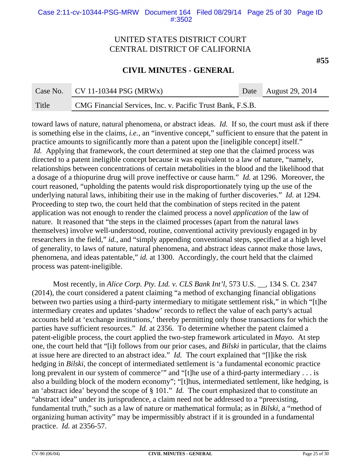#### Case 2:11-cv-10344-PSG-MRW Document 164 Filed 08/29/14 Page 25 of 30 Page ID #:3502

# UNITED STATES DISTRICT COURT CENTRAL DISTRICT OF CALIFORNIA

### **CIVIL MINUTES - GENERAL**

| Case No. | $\sqrt{CV 11-10344} PSG (MRWx)$                            | Date August 29, 2014 |
|----------|------------------------------------------------------------|----------------------|
| Title    | CMG Financial Services, Inc. v. Pacific Trust Bank, F.S.B. |                      |

toward laws of nature, natural phenomena, or abstract ideas. *Id.* If so, the court must ask if there is something else in the claims, *i.e.*, an "inventive concept," sufficient to ensure that the patent in practice amounts to significantly more than a patent upon the [ineligible concept] itself." *Id.* Applying that framework, the court determined at step one that the claimed process was directed to a patent ineligible concept because it was equivalent to a law of nature, "namely, relationships between concentrations of certain metabolities in the blood and the likelihood that a dosage of a thiopurine drug will prove ineffective or cause harm." *Id.* at 1296. Moreover, the court reasoned, "upholding the patents would risk disproportionately tying up the use of the underlying natural laws, inhibiting their use in the making of further discoveries." *Id.* at 1294. Proceeding to step two, the court held that the combination of steps recited in the patent application was not enough to render the claimed process a novel *application* of the law of nature. It reasoned that "the steps in the claimed processes (apart from the natural laws themselves) involve well-understood, routine, conventional activity previously engaged in by researchers in the field," *id.,* and "simply appending conventional steps, specified at a high level of generality, to laws of nature, natural phenomena, and abstract ideas cannot make those laws, phenomena, and ideas patentable," *id.* at 1300. Accordingly, the court held that the claimed process was patent-ineligible.

Most recently, in *Alice Corp. Pty. Ltd. v. CLS Bank Int'l*, 573 U.S. \_\_, 134 S. Ct. 2347 (2014), the court considered a patent claiming "a method of exchanging financial obligations between two parties using a third-party intermediary to mitigate settlement risk," in which "[t]he intermediary creates and updates 'shadow' records to reflect the value of each party's actual accounts held at 'exchange institutions,' thereby permitting only those transactions for which the parties have sufficient resources." *Id.* at 2356. To determine whether the patent claimed a patent-eligible process, the court applied the two-step framework articulated in *Mayo*. At step one, the court held that "[i]t follows from our prior cases, and *Bilski* in particular, that the claims at issue here are directed to an abstract idea." *Id.* The court explained that "[l]ike the risk hedging in *Bilski*, the concept of intermediated settlement is 'a fundamental economic practice long prevalent in our system of commerce'" and "[t]he use of a third-party intermediary . . . is also a building block of the modern economy"; "[t]hus, intermediated settlement, like hedging, is an 'abstract idea' beyond the scope of § 101." *Id.* The court emphasized that to constitute an "abstract idea" under its jurisprudence, a claim need not be addressed to a "preexisting, fundamental truth," such as a law of nature or mathematical formula; as in *Bilski*, a "method of organizing human activity" may be impermissibly abstract if it is grounded in a fundamental practice. *Id.* at 2356-57.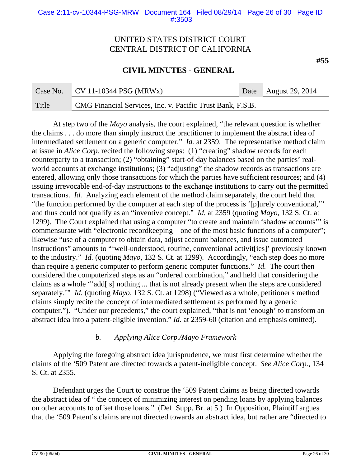### **CIVIL MINUTES - GENERAL**

| Case No. | $CV 11-10344 PSG (MRWx)$                                   | Date August 29, 2014 |
|----------|------------------------------------------------------------|----------------------|
| Title    | CMG Financial Services, Inc. v. Pacific Trust Bank, F.S.B. |                      |

At step two of the *Mayo* analysis, the court explained, "the relevant question is whether the claims . . . do more than simply instruct the practitioner to implement the abstract idea of intermediated settlement on a generic computer." *Id.* at 2359. The representative method claim at issue in *Alice Corp.* recited the following steps: (1) "creating" shadow records for each counterparty to a transaction; (2) "obtaining" start-of-day balances based on the parties' realworld accounts at exchange institutions; (3) "adjusting" the shadow records as transactions are entered, allowing only those transactions for which the parties have sufficient resources; and (4) issuing irrevocable end-of-day instructions to the exchange institutions to carry out the permitted transactions. *Id.* Analyzing each element of the method claim separately, the court held that "the function performed by the computer at each step of the process is '[p]urely conventional,'" and thus could not qualify as an "inventive concept." *Id.* at 2359 (quoting *Mayo,* 132 S. Ct. at 1299). The Court explained that using a computer "to create and maintain 'shadow accounts'" is commensurate with "electronic recordkeeping – one of the most basic functions of a computer"; likewise "use of a computer to obtain data, adjust account balances, and issue automated instructions" amounts to "'well-understood, routine, conventional activit[ies]' previously known to the industry." *Id.* (quoting *Mayo,* 132 S. Ct. at 1299). Accordingly, "each step does no more than require a generic computer to perform generic computer functions." *Id.* The court then considered the computerized steps as an "ordered combination," and held that considering the claims as a whole "'add[ s] nothing ... that is not already present when the steps are considered separately.'" *Id.* (quoting *Mayo,* 132 S. Ct. at 1298) ("Viewed as a whole, petitioner's method claims simply recite the concept of intermediated settlement as performed by a generic computer."). "Under our precedents," the court explained, "that is not 'enough' to transform an abstract idea into a patent-eligible invention." *Id.* at 2359-60 (citation and emphasis omitted).

### *b. Applying Alice Corp./Mayo Framework*

Applying the foregoing abstract idea jurisprudence, we must first determine whether the claims of the '509 Patent are directed towards a patent-ineligible concept. *See Alice Corp.*, 134 S. Ct. at 2355.

Defendant urges the Court to construe the '509 Patent claims as being directed towards the abstract idea of " the concept of minimizing interest on pending loans by applying balances on other accounts to offset those loans." (Def. Supp. Br. at 5.) In Opposition, Plaintiff argues that the '509 Patent's claims are not directed towards an abstract idea, but rather are "directed to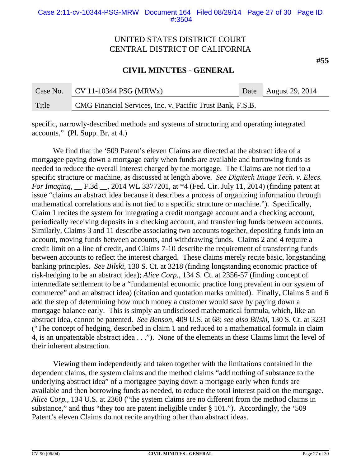### **CIVIL MINUTES - GENERAL**

| Case No. | $\sqrt{\text{CV }11\text{-}10344\text{ PSG (MRWx)}}$       | Date August 29, 2014 |
|----------|------------------------------------------------------------|----------------------|
| Title    | CMG Financial Services, Inc. v. Pacific Trust Bank, F.S.B. |                      |

specific, narrowly-described methods and systems of structuring and operating integrated accounts." (Pl. Supp. Br. at 4.)

We find that the '509 Patent's eleven Claims are directed at the abstract idea of a mortgagee paying down a mortgage early when funds are available and borrowing funds as needed to reduce the overall interest charged by the mortgage. The Claims are not tied to a specific structure or machine, as discussed at length above. *See Digitech Image Tech. v. Elecs. For Imaging*, \_\_ F.3d \_\_, 2014 WL 3377201, at \*4 (Fed. Cir. July 11, 2014) (finding patent at issue "claims an abstract idea because it describes a process of organizing information through mathematical correlations and is not tied to a specific structure or machine."). Specifically, Claim 1 recites the system for integrating a credit mortgage account and a checking account, periodically receiving deposits in a checking account, and transferring funds between accounts. Similarly, Claims 3 and 11 describe associating two accounts together, depositing funds into an account, moving funds between accounts, and withdrawing funds. Claims 2 and 4 require a credit limit on a line of credit, and Claims 7-10 describe the requirement of transferring funds between accounts to reflect the interest charged. These claims merely recite basic, longstanding banking principles. *See Bilski*, 130 S. Ct. at 3218 (finding longstanding economic practice of risk-hedging to be an abstract idea); *Alice Corp.*, 134 S. Ct. at 2356-57 (finding concept of intermediate settlement to be a "fundamental economic practice long prevalent in our system of commerce" and an abstract idea) (citation and quotation marks omitted). Finally, Claims 5 and 6 add the step of determining how much money a customer would save by paying down a mortgage balance early. This is simply an undisclosed mathematical formula, which, like an abstract idea, cannot be patented. *See Benson,* 409 U.S. at 68; *see also Bilski*, 130 S. Ct. at 3231 ("The concept of hedging, described in claim 1 and reduced to a mathematical formula in claim 4, is an unpatentable abstract idea . . ."). None of the elements in these Claims limit the level of their inherent abstraction.

Viewing them independently and taken together with the limitations contained in the dependent claims, the system claims and the method claims "add nothing of substance to the underlying abstract idea" of a mortgagee paying down a mortgage early when funds are available and then borrowing funds as needed, to reduce the total interest paid on the mortgage. *Alice Corp.*, 134 U.S. at 2360 ("the system claims are no different from the method claims in substance," and thus "they too are patent ineligible under § 101."). Accordingly, the '509 Patent's eleven Claims do not recite anything other than abstract ideas.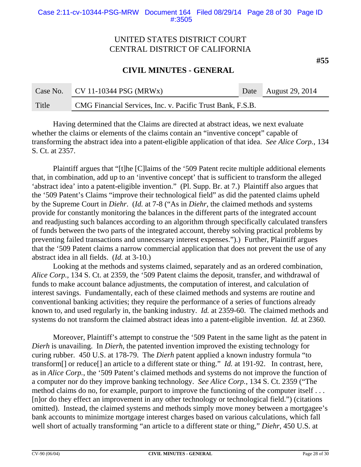**CIVIL MINUTES - GENERAL**

|       | Case No. $CV 11-10344 PSG (MRWx)$                          | Date August 29, 2014 |
|-------|------------------------------------------------------------|----------------------|
| Title | CMG Financial Services, Inc. v. Pacific Trust Bank, F.S.B. |                      |

Having determined that the Claims are directed at abstract ideas, we next evaluate whether the claims or elements of the claims contain an "inventive concept" capable of transforming the abstract idea into a patent-eligible application of that idea. *See Alice Corp.*, 134 S. Ct. at 2357.

Plaintiff argues that "[t]he [C]laims of the '509 Patent recite multiple additional elements that, in combination, add up to an 'inventive concept' that is sufficient to transform the alleged 'abstract idea' into a patent-eligible invention." (Pl. Supp. Br. at 7.) Plaintiff also argues that the '509 Patent's Claims "improve their technological field" as did the patented claims upheld by the Supreme Court in *Diehr*. (*Id.* at 7-8 ("As in *Diehr*, the claimed methods and systems provide for constantly monitoring the balances in the different parts of the integrated account and readjusting such balances according to an algorithm through specifically calculated transfers of funds between the two parts of the integrated account, thereby solving practical problems by preventing failed transactions and unnecessary interest expenses.").) Further, Plaintiff argues that the '509 Patent claims a narrow commercial application that does not prevent the use of any abstract idea in all fields. (*Id.* at 3-10.)

Looking at the methods and systems claimed, separately and as an ordered combination, *Alice Corp.*, 134 S. Ct. at 2359, the '509 Patent claims the deposit, transfer, and withdrawal of funds to make account balance adjustments, the computation of interest, and calculation of interest savings. Fundamentally, each of these claimed methods and systems are routine and conventional banking activities; they require the performance of a series of functions already known to, and used regularly in, the banking industry. *Id.* at 2359-60. The claimed methods and systems do not transform the claimed abstract ideas into a patent-eligible invention. *Id.* at 2360.

Moreover, Plaintiff's attempt to construe the '509 Patent in the same light as the patent in *Dierh* is unavailing. In *Dierh*, the patented invention improved the existing technology for curing rubber. 450 U.S. at 178-79. The *Dierh* patent applied a known industry formula "to transform[] or reduce[] an article to a different state or thing." *Id.* at 191-92. In contrast, here, as in *Alice Corp.*, the '509 Patent's claimed methods and systems do not improve the function of a computer nor do they improve banking technology. *See Alice Corp.*, 134 S. Ct. 2359 ("The method claims do no, for example, purport to improve the functioning of the computer itself . . . [n]or do they effect an improvement in any other technology or technological field.") (citations omitted). Instead, the claimed systems and methods simply move money between a mortgagee's bank accounts to minimize mortgage interest charges based on various calculations, which fall well short of actually transforming "an article to a different state or thing," *Diehr*, 450 U.S. at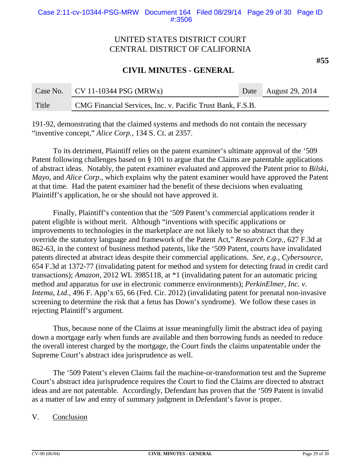### **CIVIL MINUTES - GENERAL**

| Case No. | $\sqrt{\text{CV }11\text{-}10344\text{ PSG (MRWx)}}$       |  | Date August 29, 2014 |
|----------|------------------------------------------------------------|--|----------------------|
| Title    | CMG Financial Services, Inc. v. Pacific Trust Bank, F.S.B. |  |                      |

191-92, demonstrating that the claimed systems and methods do not contain the necessary "inventive concept," *Alice Corp.*, 134 S. Ct. at 2357.

To its detriment, Plaintiff relies on the patent examiner's ultimate approval of the '509 Patent following challenges based on § 101 to argue that the Claims are patentable applications of abstract ideas. Notably, the patent examiner evaluated and approved the Patent prior to *Bilski*, *Mayo*, and *Alice Corp*., which explains why the patent examiner would have approved the Patent at that time. Had the patent examiner had the benefit of these decisions when evaluating Plaintiff's application, he or she should not have approved it.

Finally, Plaintiff's contention that the '509 Patent's commercial applications render it patent eligible is without merit. Although "inventions with specific applications or improvements to technologies in the marketplace are not likely to be so abstract that they override the statutory language and framework of the Patent Act," *Research Corp.*, 627 F.3d at 862-63, in the context of business method patents, like the '509 Patent, courts have invalidated patents directed at abstract ideas despite their commercial applications. *See, e.g., Cybersource*, 654 F.3d at 1372-77 (invalidating patent for method and system for detecting fraud in credit card transactions); *Amazon*, 2012 WL 3985118, at \*1 (invalidating patent for an automatic pricing method and apparatus for use in electronic commerce environments); *PerkinElmer, Inc. v. Intema, Ltd.,* 496 F. App'x 65, 66 (Fed. Cir. 2012) (invalidating patent for prenatal non-invasive screening to determine the risk that a fetus has Down's syndrome). We follow these cases in rejecting Plaintiff's argument.

Thus, because none of the Claims at issue meaningfully limit the abstract idea of paying down a mortgage early when funds are available and then borrowing funds as needed to reduce the overall interest charged by the mortgage, the Court finds the claims unpatentable under the Supreme Court's abstract idea jurisprudence as well.

The '509 Patent's eleven Claims fail the machine-or-transformation test and the Supreme Court's abstract idea jurisprudence requires the Court to find the Claims are directed to abstract ideas and are not patentable. Accordingly, Defendant has proven that the '509 Patent is invalid as a matter of law and entry of summary judgment in Defendant's favor is proper.

### V. Conclusion